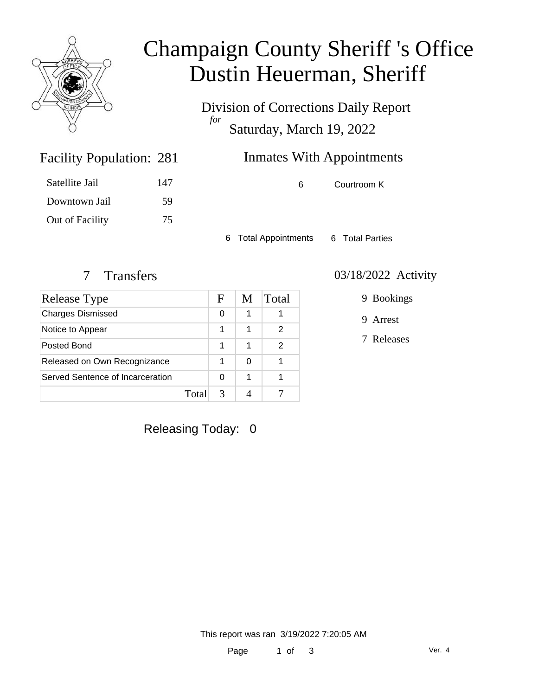

# Champaign County Sheriff 's Office Dustin Heuerman, Sheriff

Division of Corrections Daily Report *for* Saturday, March 19, 2022

## Inmates With Appointments

| Satellite Jail  | 147 |
|-----------------|-----|
| Downtown Jail   | 59  |
| Out of Facility | 75  |

Facility Population: 281

6 Courtroom K

6 Total Appointments 6 Total Parties

| Release Type                     |      | F | M | Total |
|----------------------------------|------|---|---|-------|
| <b>Charges Dismissed</b>         |      | 0 | 1 |       |
| Notice to Appear                 |      | 1 | 1 | 2     |
| Posted Bond                      |      | 1 | 1 | 2     |
| Released on Own Recognizance     |      | 1 | 0 |       |
| Served Sentence of Incarceration |      | O | 1 |       |
|                                  | Tota |   |   |       |

#### 7 Transfers 03/18/2022 Activity

9 Bookings

9 Arrest

7 Releases

Releasing Today: 0

This report was ran 3/19/2022 7:20:05 AM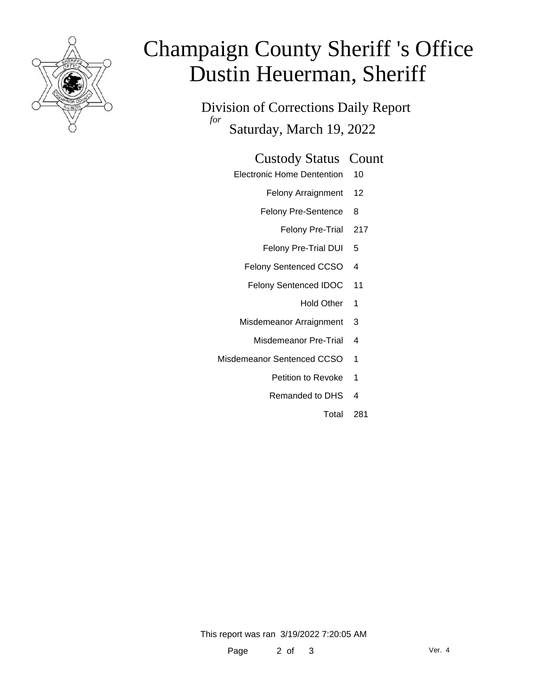

# Champaign County Sheriff 's Office Dustin Heuerman, Sheriff

Division of Corrections Daily Report *for* Saturday, March 19, 2022

#### Custody Status Count

- Electronic Home Dentention 10
	- Felony Arraignment 12
	- Felony Pre-Sentence 8
		- Felony Pre-Trial 217
	- Felony Pre-Trial DUI 5
	- Felony Sentenced CCSO 4
	- Felony Sentenced IDOC 11
		- Hold Other 1
	- Misdemeanor Arraignment 3
		- Misdemeanor Pre-Trial 4
- Misdemeanor Sentenced CCSO 1
	- Petition to Revoke 1
	- Remanded to DHS 4
		- Total 281

This report was ran 3/19/2022 7:20:05 AM